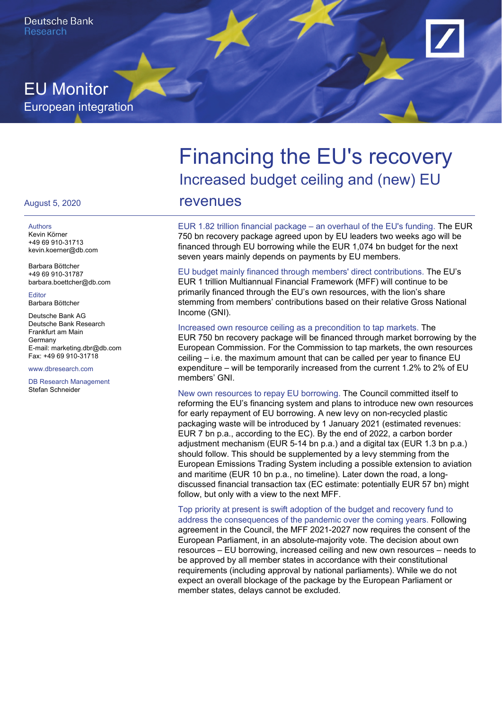

## EU Monitor European integration

# Financing the EU's recovery Increased budget ceiling and (new) EU revenues

EUR 1.82 trillion financial package – an overhaul of the EU's funding. The EUR 750 bn recovery package agreed upon by EU leaders two weeks ago will be financed through EU borrowing while the EUR 1,074 bn budget for the next seven years mainly depends on payments by EU members.

EU budget mainly financed through members' direct contributions. The EU's EUR 1 trillion Multiannual Financial Framework (MFF) will continue to be primarily financed through the EU's own resources, with the lion's share stemming from members' contributions based on their relative Gross National Income (GNI).

Increased own resource ceiling as a precondition to tap markets. The EUR 750 bn recovery package will be financed through market borrowing by the European Commission. For the Commission to tap markets, the own resources ceiling – i.e. the maximum amount that can be called per year to finance EU expenditure – will be temporarily increased from the current 1.2% to 2% of EU members' GNI.

New own resources to repay EU borrowing. The Council committed itself to reforming the EU's financing system and plans to introduce new own resources for early repayment of EU borrowing. A new levy on non-recycled plastic packaging waste will be introduced by 1 January 2021 (estimated revenues: EUR 7 bn p.a., according to the EC). By the end of 2022, a carbon border adjustment mechanism (EUR 5-14 bn p.a.) and a digital tax (EUR 1.3 bn p.a.) should follow. This should be supplemented by a levy stemming from the European Emissions Trading System including a possible extension to aviation and maritime (EUR 10 bn p.a., no timeline). Later down the road, a longdiscussed financial transaction tax (EC estimate: potentially EUR 57 bn) might follow, but only with a view to the next MFF.

Top priority at present is swift adoption of the budget and recovery fund to address the consequences of the pandemic over the coming years. Following agreement in the Council, the MFF 2021-2027 now requires the consent of the European Parliament, in an absolute-majority vote. The decision about own resources – EU borrowing, increased ceiling and new own resources – needs to be approved by all member states in accordance with their constitutional requirements (including approval by national parliaments). While we do not expect an overall blockage of the package by the European Parliament or member states, delays cannot be excluded.

#### August 5, 2020

Authors Kevin Körner +49 69 910-31713 kevin.koerner@db.com

Barbara Böttcher +49 69 910-31787 barbara.boettcher@db.com

Editor Barbara Böttcher

Deutsche Bank AG Deutsche Bank Research Frankfurt am Main Germany E-mail: marketing.dbr@db.com Fax: +49 69 910-31718

www.dbresearch.com

DB Research Management Stefan Schneider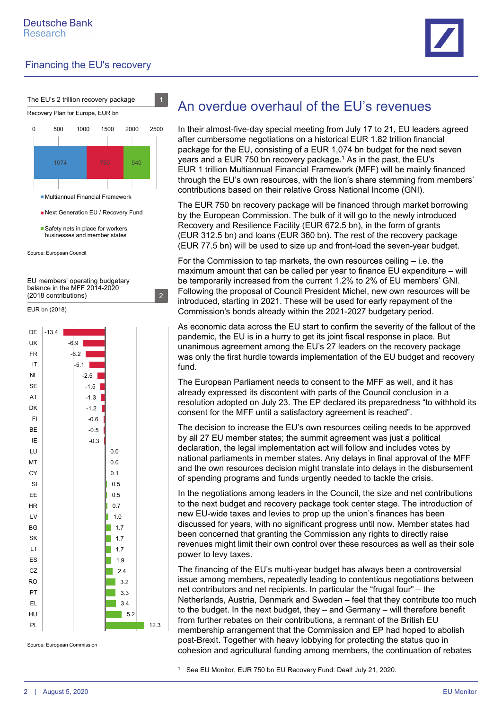



Source: European Council

EU members' operating budgetary balance in the MFF 2014-2020



12.3

## An overdue overhaul of the EU's revenues

In their almost-five-day special meeting from July 17 to 21, EU leaders agreed after cumbersome negotiations on a historical EUR 1.82 trillion financial package for the EU, consisting of a EUR 1,074 bn budget for the next seven years and a EUR 750 bn recovery package.<sup>1</sup> As in the past, the EU's EUR 1 trillion Multiannual Financial Framework (MFF) will be mainly financed through the EU's own resources, with the lion's share stemming from members' contributions based on their relative Gross National Income (GNI).

The EUR 750 bn recovery package will be financed through market borrowing by the European Commission. The bulk of it will go to the newly introduced Recovery and Resilience Facility (EUR 672.5 bn), in the form of grants (EUR 312.5 bn) and loans (EUR 360 bn). The rest of the recovery package (EUR 77.5 bn) will be used to size up and front-load the seven-year budget.

For the Commission to tap markets, the own resources ceiling – i.e. the maximum amount that can be called per year to finance EU expenditure – will be temporarily increased from the current 1.2% to 2% of EU members' GNI. Following the proposal of Council President Michel, new own resources will be introduced, starting in 2021. These will be used for early repayment of the Commission's bonds already within the 2021-2027 budgetary period.

As economic data across the EU start to confirm the severity of the fallout of the pandemic, the EU is in a hurry to get its joint fiscal response in place. But unanimous agreement among the EU's 27 leaders on the recovery package was only the first hurdle towards implementation of the EU budget and recovery fund.

The European Parliament needs to consent to the MFF as well, and it has already expressed its discontent with parts of the Council conclusion in a resolution adopted on July 23. The EP declared its preparedness "to withhold its consent for the MFF until a satisfactory agreement is reached".

The decision to increase the EU's own resources ceiling needs to be approved by all 27 EU member states; the summit agreement was just a political declaration, the legal implementation act will follow and includes votes by national parliaments in member states. Any delays in final approval of the MFF and the own resources decision might translate into delays in the disbursement of spending programs and funds urgently needed to tackle the crisis.

In the negotiations among leaders in the Council, the size and net contributions to the next budget and recovery package took center stage. The introduction of new EU-wide taxes and levies to prop up the union's finances has been discussed for years, with no significant progress until now. Member states had been concerned that granting the Commission any rights to directly raise revenues might limit their own control over these resources as well as their sole power to levy taxes.

The financing of the EU's multi-year budget has always been a controversial issue among members, repeatedly leading to contentious negotiations between net contributors and net recipients. In particular the "frugal four" – the Netherlands, Austria, Denmark and Sweden – feel that they contribute too much to the budget. In the next budget, they – and Germany – will therefore benefit from further rebates on their contributions, a remnant of the British EU membership arrangement that the Commission and EP had hoped to abolish post-Brexit. Together with heavy lobbying for protecting the status quo in cohesion and agricultural funding among members, the continuation of rebates  $\overline{a}$ 

<sup>1</sup> See EU Monitor, EUR 750 bn EU Recovery Fund: Deal! July 21, 2020.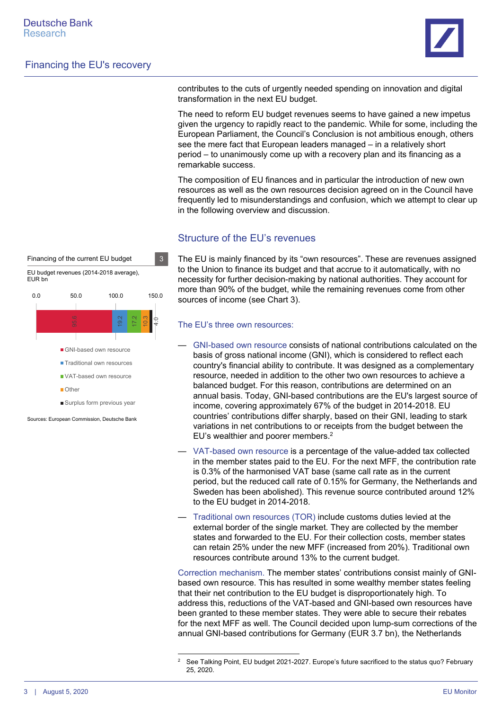

contributes to the cuts of urgently needed spending on innovation and digital transformation in the next EU budget.

The need to reform EU budget revenues seems to have gained a new impetus given the urgency to rapidly react to the pandemic. While for some, including the European Parliament, the Council's Conclusion is not ambitious enough, others see the mere fact that European leaders managed – in a relatively short period – to unanimously come up with a recovery plan and its financing as a remarkable success.

The composition of EU finances and in particular the introduction of new own resources as well as the own resources decision agreed on in the Council have frequently led to misunderstandings and confusion, which we attempt to clear up in the following overview and discussion.

#### Structure of the EU's revenues

The EU is mainly financed by its "own resources". These are revenues assigned to the Union to finance its budget and that accrue to it automatically, with no necessity for further decision-making by national authorities. They account for more than 90% of the budget, while the remaining revenues come from other sources of income (see Chart 3).

#### The EU's three own resources:

1

- GNI-based own resource consists of national contributions calculated on the basis of gross national income (GNI), which is considered to reflect each country's financial ability to contribute. It was designed as a complementary resource, needed in addition to the other two own resources to achieve a balanced budget. For this reason, contributions are determined on an annual basis. Today, GNI-based contributions are the EU's largest source of income, covering approximately 67% of the budget in 2014-2018. EU countries' contributions differ sharply, based on their GNI, leading to stark variations in net contributions to or receipts from the budget between the EU's wealthier and poorer members.2
- VAT-based own resource is a percentage of the value-added tax collected in the member states paid to the EU. For the next MFF, the contribution rate is 0.3% of the harmonised VAT base (same call rate as in the current period, but the reduced call rate of 0.15% for Germany, the Netherlands and Sweden has been abolished). This revenue source contributed around 12% to the EU budget in 2014-2018.
- Traditional own resources (TOR) include customs duties levied at the external border of the single market. They are collected by the member states and forwarded to the EU. For their collection costs, member states can retain 25% under the new MFF (increased from 20%). Traditional own resources contribute around 13% to the current budget.

Correction mechanism. The member states' contributions consist mainly of GNIbased own resource. This has resulted in some wealthy member states feeling that their net contribution to the EU budget is disproportionately high. To address this, reductions of the VAT-based and GNI-based own resources have been granted to these member states. They were able to secure their rebates for the next MFF as well. The Council decided upon lump-sum corrections of the annual GNI-based contributions for Germany (EUR 3.7 bn), the Netherlands

17.2 10.3 4.0 0.0 50.0 100.0 150.0 GNI-based own resource **Traditional own resources** VAT-based own resource **n**Other Surplus form previous year EU budget revenues (2014-2018 average), EUR bn

Financing of the current EU budget 3

Sources: European Commission, Deutsche Bank

<sup>2</sup> See Talking Point, EU budget 2021-2027. Europe's future sacrificed to the status quo? February 25, 2020.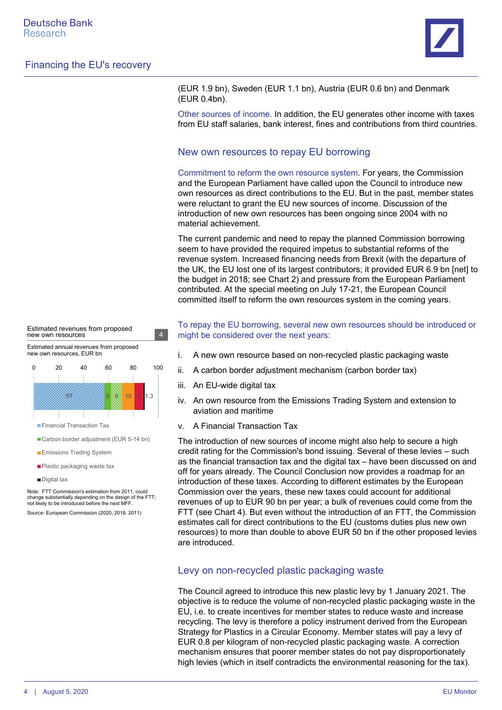

(EUR 1.9 bn), Sweden (EUR 1.1 bn), Austria (EUR 0.6 bn) and Denmark (EUR 0.4bn).

Other sources of income. In addition, the EU generates other income with taxes from EU staff salaries, bank interest, fines and contributions from third countries.

#### New own resources to repay EU borrowing

Commitment to reform the own resource system. For years, the Commission and the European Parliament have called upon the Council to introduce new own resources as direct contributions to the EU. But in the past, member states were reluctant to grant the EU new sources of income. Discussion of the introduction of new own resources has been ongoing since 2004 with no material achievement.

The current pandemic and need to repay the planned Commission borrowing seem to have provided the required impetus to substantial reforms of the revenue system. Increased financing needs from Brexit (with the departure of the UK, the EU lost one of its largest contributors; it provided EUR 6.9 bn [net] to the budget in 2018; see Chart 2) and pressure from the European Parliament contributed. At the special meeting on July 17-21, the European Council committed itself to reform the own resources system in the coming years.

To repay the EU borrowing, several new own resources should be introduced or might be considered over the next years:

- i. A new own resource based on non-recycled plastic packaging waste
- ii. A carbon border adjustment mechanism (carbon border tax)
- iii. An EU-wide digital tax
- iv. An own resource from the Emissions Trading System and extension to aviation and maritime
- v. A Financial Transaction Tax

The introduction of new sources of income might also help to secure a high credit rating for the Commission's bond issuing. Several of these levies – such as the financial transaction tax and the digital tax – have been discussed on and off for years already. The Council Conclusion now provides a roadmap for an introduction of these taxes. According to different estimates by the European Commission over the years, these new taxes could account for additional revenues of up to EUR 90 bn per year; a bulk of revenues could come from the FTT (see Chart 4). But even without the introduction of an FTT, the Commission estimates call for direct contributions to the EU (customs duties plus new own resources) to more than double to above EUR 50 bn if the other proposed levies are introduced.

#### Levy on non-recycled plastic packaging waste

The Council agreed to introduce this new plastic levy by 1 January 2021. The objective is to reduce the volume of non-recycled plastic packaging waste in the EU, i.e. to create incentives for member states to reduce waste and increase recycling. The levy is therefore a policy instrument derived from the European Strategy for Plastics in a Circular Economy. Member states will pay a levy of EUR 0.8 per kilogram of non-recycled plastic packaging waste. A correction mechanism ensures that poorer member states do not pay disproportionately high levies (which in itself contradicts the environmental reasoning for the tax).



Estimated revenues from proposed

new own resources 4

- Carbon border adjustment (EUR 5-14 bn)
- **Emissions Trading System**
- **Plastic packaging waste tax**
- Digital tax

Note: FTT Commission's estimation from 2011; could change substantially depending on the design of the FTT; not likely to be introduced before the next MFF.

Source: European Commission (2020, 2018, 2011)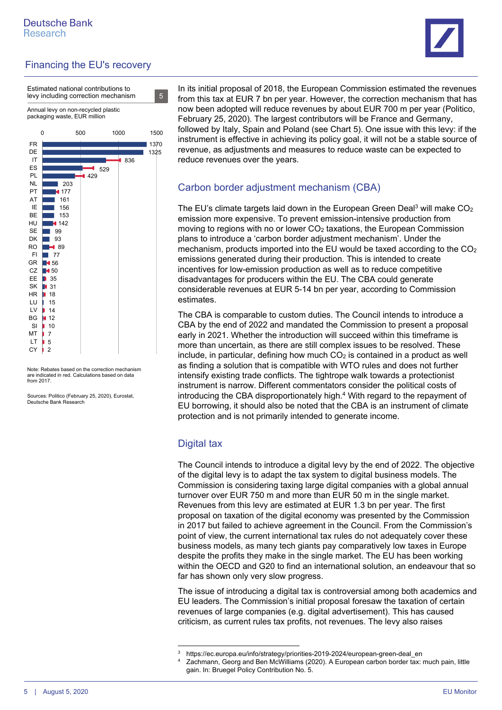

Estimated national contributions to levy including correction mechanism 5

Annual levy on non-recycled plastic packaging waste, EUR million



Note: Rebates based on the correction mechanism are indicated in red. Calculations based on data from 2017.

Sources: Politico (February 25, 2020), Eurostat Deutsche Bank Research

In its initial proposal of 2018, the European Commission estimated the revenues from this tax at EUR 7 bn per year. However, the correction mechanism that has now been adopted will reduce revenues by about EUR 700 m per year (Politico, February 25, 2020). The largest contributors will be France and Germany, followed by Italy, Spain and Poland (see Chart 5). One issue with this levy: if the instrument is effective in achieving its policy goal, it will not be a stable source of revenue, as adjustments and measures to reduce waste can be expected to reduce revenues over the years.

## Carbon border adjustment mechanism (CBA)

The EU's climate targets laid down in the European Green Deal<sup>3</sup> will make  $CO<sub>2</sub>$ emission more expensive. To prevent emission-intensive production from moving to regions with no or lower  $CO<sub>2</sub>$  taxations, the European Commission plans to introduce a 'carbon border adjustment mechanism'. Under the mechanism, products imported into the EU would be taxed according to the CO2 emissions generated during their production. This is intended to create incentives for low-emission production as well as to reduce competitive disadvantages for producers within the EU. The CBA could generate considerable revenues at EUR 5-14 bn per year, according to Commission estimates.

The CBA is comparable to custom duties. The Council intends to introduce a CBA by the end of 2022 and mandated the Commission to present a proposal early in 2021. Whether the introduction will succeed within this timeframe is more than uncertain, as there are still complex issues to be resolved. These include, in particular, defining how much  $CO<sub>2</sub>$  is contained in a product as well as finding a solution that is compatible with WTO rules and does not further intensify existing trade conflicts. The tightrope walk towards a protectionist instrument is narrow. Different commentators consider the political costs of introducing the CBA disproportionately high.<sup>4</sup> With regard to the repayment of EU borrowing, it should also be noted that the CBA is an instrument of climate protection and is not primarily intended to generate income.

## Digital tax

The Council intends to introduce a digital levy by the end of 2022. The objective of the digital levy is to adapt the tax system to digital business models. The Commission is considering taxing large digital companies with a global annual turnover over EUR 750 m and more than EUR 50 m in the single market. Revenues from this levy are estimated at EUR 1.3 bn per year. The first proposal on taxation of the digital economy was presented by the Commission in 2017 but failed to achieve agreement in the Council. From the Commission's point of view, the current international tax rules do not adequately cover these business models, as many tech giants pay comparatively low taxes in Europe despite the profits they make in the single market. The EU has been working within the OECD and G20 to find an international solution, an endeavour that so far has shown only very slow progress.

The issue of introducing a digital tax is controversial among both academics and EU leaders. The Commission's initial proposal foresaw the taxation of certain revenues of large companies (e.g. digital advertisement). This has caused criticism, as current rules tax profits, not revenues. The levy also raises

<sup>1</sup> 3 https://ec.europa.eu/info/strategy/priorities-2019-2024/european-green-deal\_en

Zachmann, Georg and Ben McWilliams (2020). A European carbon border tax: much pain, little gain. In: Bruegel Policy Contribution No. 5.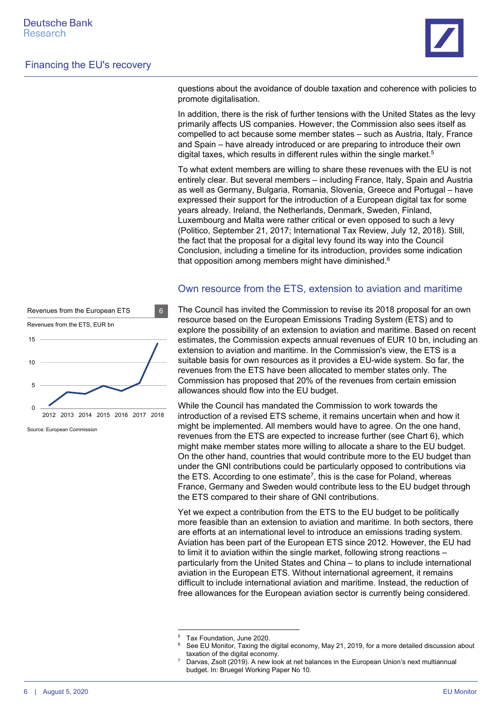

questions about the avoidance of double taxation and coherence with policies to promote digitalisation.

In addition, there is the risk of further tensions with the United States as the levy primarily affects US companies. However, the Commission also sees itself as compelled to act because some member states – such as Austria, Italy, France and Spain – have already introduced or are preparing to introduce their own digital taxes, which results in different rules within the single market.<sup>5</sup>

To what extent members are willing to share these revenues with the EU is not entirely clear. But several members – including France, Italy, Spain and Austria as well as Germany, Bulgaria, Romania, Slovenia, Greece and Portugal – have expressed their support for the introduction of a European digital tax for some years already. Ireland, the Netherlands, Denmark, Sweden, Finland, Luxembourg and Malta were rather critical or even opposed to such a levy (Politico, September 21, 2017; International Tax Review, July 12, 2018). Still, the fact that the proposal for a digital levy found its way into the Council Conclusion, including a timeline for its introduction, provides some indication that opposition among members might have diminished.6



Source: European Commission

#### Own resource from the ETS, extension to aviation and maritime

The Council has invited the Commission to revise its 2018 proposal for an own resource based on the European Emissions Trading System (ETS) and to explore the possibility of an extension to aviation and maritime. Based on recent estimates, the Commission expects annual revenues of EUR 10 bn, including an extension to aviation and maritime. In the Commission's view, the ETS is a suitable basis for own resources as it provides a EU-wide system. So far, the revenues from the ETS have been allocated to member states only. The Commission has proposed that 20% of the revenues from certain emission allowances should flow into the EU budget.

While the Council has mandated the Commission to work towards the introduction of a revised ETS scheme, it remains uncertain when and how it might be implemented. All members would have to agree. On the one hand, revenues from the ETS are expected to increase further (see Chart 6), which might make member states more willing to allocate a share to the EU budget. On the other hand, countries that would contribute more to the EU budget than under the GNI contributions could be particularly opposed to contributions via the ETS. According to one estimate<sup>7</sup>, this is the case for Poland, whereas France, Germany and Sweden would contribute less to the EU budget through the ETS compared to their share of GNI contributions.

Yet we expect a contribution from the ETS to the EU budget to be politically more feasible than an extension to aviation and maritime. In both sectors, there are efforts at an international level to introduce an emissions trading system. Aviation has been part of the European ETS since 2012. However, the EU had to limit it to aviation within the single market, following strong reactions – particularly from the United States and China – to plans to include international aviation in the European ETS. Without international agreement, it remains difficult to include international aviation and maritime. Instead, the reduction of free allowances for the European aviation sector is currently being considered.

1

<sup>5</sup> Tax Foundation, June 2020.

<sup>6</sup> See EU Monitor, Taxing the digital economy, May 21, 2019, for a more detailed discussion about taxation of the digital economy.

Darvas, Zsolt (2019). A new look at net balances in the European Union's next multiannual budget. In: Bruegel Working Paper No 10.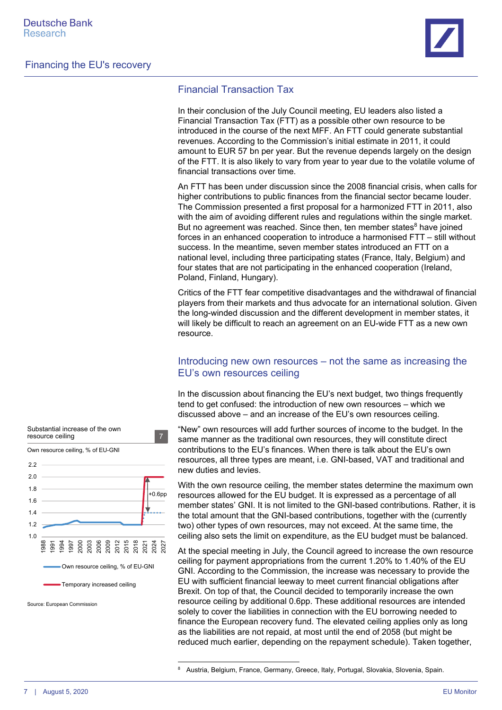

### Financial Transaction Tax

In their conclusion of the July Council meeting, EU leaders also listed a Financial Transaction Tax (FTT) as a possible other own resource to be introduced in the course of the next MFF. An FTT could generate substantial revenues. According to the Commission's initial estimate in 2011, it could amount to EUR 57 bn per year. But the revenue depends largely on the design of the FTT. It is also likely to vary from year to year due to the volatile volume of financial transactions over time.

An FTT has been under discussion since the 2008 financial crisis, when calls for higher contributions to public finances from the financial sector became louder. The Commission presented a first proposal for a harmonized FTT in 2011, also with the aim of avoiding different rules and regulations within the single market. But no agreement was reached. Since then, ten member states<sup>8</sup> have joined forces in an enhanced cooperation to introduce a harmonised FTT – still without success. In the meantime, seven member states introduced an FTT on a national level, including three participating states (France, Italy, Belgium) and four states that are not participating in the enhanced cooperation (Ireland, Poland, Finland, Hungary).

Critics of the FTT fear competitive disadvantages and the withdrawal of financial players from their markets and thus advocate for an international solution. Given the long-winded discussion and the different development in member states, it will likely be difficult to reach an agreement on an EU-wide FTT as a new own resource.

### Introducing new own resources – not the same as increasing the EU's own resources ceiling

In the discussion about financing the EU's next budget, two things frequently tend to get confused: the introduction of new own resources – which we discussed above – and an increase of the EU's own resources ceiling.

"New" own resources will add further sources of income to the budget. In the same manner as the traditional own resources, they will constitute direct contributions to the EU's finances. When there is talk about the EU's own resources, all three types are meant, i.e. GNI-based, VAT and traditional and new duties and levies.

With the own resource ceiling, the member states determine the maximum own resources allowed for the EU budget. It is expressed as a percentage of all member states' GNI. It is not limited to the GNI-based contributions. Rather, it is the total amount that the GNI-based contributions, together with the (currently two) other types of own resources, may not exceed. At the same time, the ceiling also sets the limit on expenditure, as the EU budget must be balanced.

At the special meeting in July, the Council agreed to increase the own resource ceiling for payment appropriations from the current 1.20% to 1.40% of the EU GNI. According to the Commission, the increase was necessary to provide the EU with sufficient financial leeway to meet current financial obligations after Brexit. On top of that, the Council decided to temporarily increase the own resource ceiling by additional 0.6pp. These additional resources are intended solely to cover the liabilities in connection with the EU borrowing needed to finance the European recovery fund. The elevated ceiling applies only as long as the liabilities are not repaid, at most until the end of 2058 (but might be reduced much earlier, depending on the repayment schedule). Taken together,



 $\overline{a}$ 

Source: European Commission

<sup>8</sup> Austria, Belgium, France, Germany, Greece, Italy, Portugal, Slovakia, Slovenia, Spain.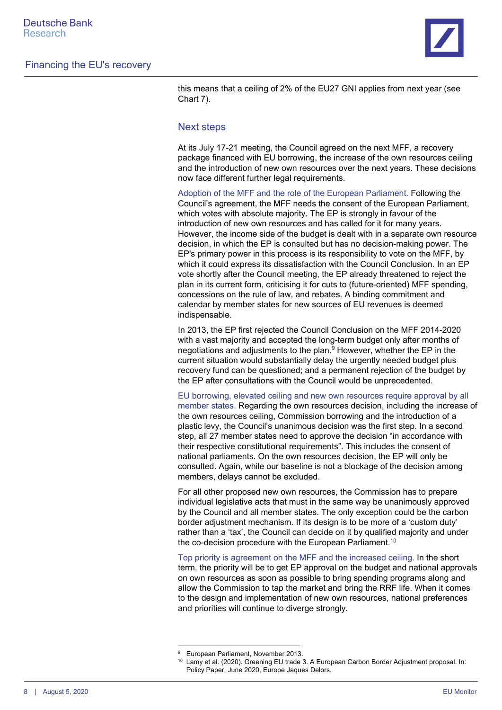

this means that a ceiling of 2% of the EU27 GNI applies from next year (see Chart 7).

#### Next steps

At its July 17-21 meeting, the Council agreed on the next MFF, a recovery package financed with EU borrowing, the increase of the own resources ceiling and the introduction of new own resources over the next years. These decisions now face different further legal requirements.

Adoption of the MFF and the role of the European Parliament. Following the Council's agreement, the MFF needs the consent of the European Parliament, which votes with absolute majority. The EP is strongly in favour of the introduction of new own resources and has called for it for many years. However, the income side of the budget is dealt with in a separate own resource decision, in which the EP is consulted but has no decision-making power. The EP's primary power in this process is its responsibility to vote on the MFF, by which it could express its dissatisfaction with the Council Conclusion. In an EP vote shortly after the Council meeting, the EP already threatened to reject the plan in its current form, criticising it for cuts to (future-oriented) MFF spending, concessions on the rule of law, and rebates. A binding commitment and calendar by member states for new sources of EU revenues is deemed indispensable.

In 2013, the EP first rejected the Council Conclusion on the MFF 2014-2020 with a vast majority and accepted the long-term budget only after months of negotiations and adjustments to the plan.9 However, whether the EP in the current situation would substantially delay the urgently needed budget plus recovery fund can be questioned; and a permanent rejection of the budget by the EP after consultations with the Council would be unprecedented.

EU borrowing, elevated ceiling and new own resources require approval by all member states. Regarding the own resources decision, including the increase of the own resources ceiling, Commission borrowing and the introduction of a plastic levy, the Council's unanimous decision was the first step. In a second step, all 27 member states need to approve the decision "in accordance with their respective constitutional requirements". This includes the consent of national parliaments. On the own resources decision, the EP will only be consulted. Again, while our baseline is not a blockage of the decision among members, delays cannot be excluded.

For all other proposed new own resources, the Commission has to prepare individual legislative acts that must in the same way be unanimously approved by the Council and all member states. The only exception could be the carbon border adjustment mechanism. If its design is to be more of a 'custom duty' rather than a 'tax', the Council can decide on it by qualified majority and under the co-decision procedure with the European Parliament.<sup>10</sup>

Top priority is agreement on the MFF and the increased ceiling. In the short term, the priority will be to get EP approval on the budget and national approvals on own resources as soon as possible to bring spending programs along and allow the Commission to tap the market and bring the RRF life. When it comes to the design and implementation of new own resources, national preferences and priorities will continue to diverge strongly.

1

<sup>9</sup> European Parliament, November 2013.

<sup>&</sup>lt;sup>10</sup> Lamy et al. (2020). Greening EU trade 3. A European Carbon Border Adjustment proposal. In: Policy Paper, June 2020, Europe Jaques Delors.